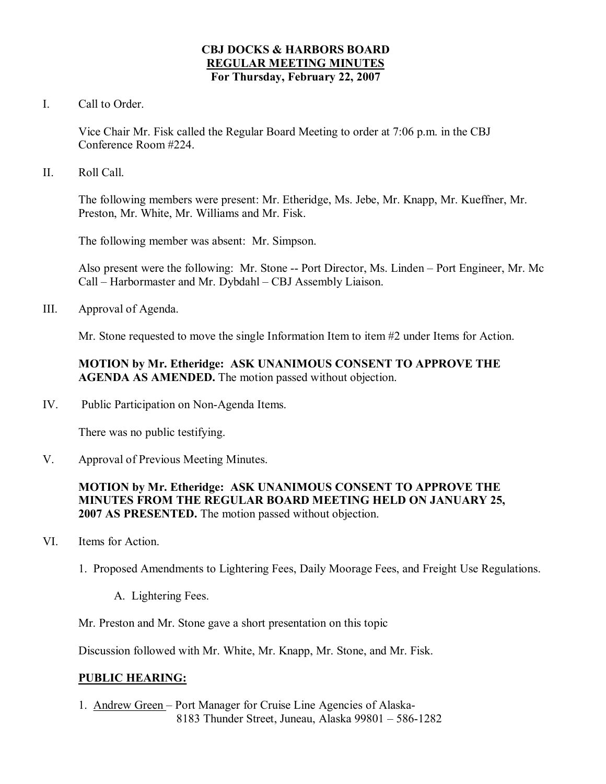### **CBJ DOCKS & HARBORS BOARD REGULAR MEETING MINUTES For Thursday, February 22, 2007**

I. Call to Order.

Vice Chair Mr. Fisk called the Regular Board Meeting to order at 7:06 p.m. in the CBJ Conference Room #224.

II. Roll Call.

The following members were present: Mr. Etheridge, Ms. Jebe, Mr. Knapp, Mr. Kueffner, Mr. Preston, Mr. White, Mr. Williams and Mr. Fisk.

The following member was absent: Mr. Simpson.

Also present were the following: Mr. Stone -- Port Director, Ms. Linden – Port Engineer, Mr. Mc Call – Harbormaster and Mr. Dybdahl – CBJ Assembly Liaison.

III. Approval of Agenda.

Mr. Stone requested to move the single Information Item to item #2 under Items for Action.

# **MOTION by Mr. Etheridge: ASK UNANIMOUS CONSENT TO APPROVE THE AGENDA AS AMENDED.** The motion passed without objection.

IV. Public Participation on Non-Agenda Items.

There was no public testifying.

V. Approval of Previous Meeting Minutes.

## **MOTION by Mr. Etheridge: ASK UNANIMOUS CONSENT TO APPROVE THE MINUTES FROM THE REGULAR BOARD MEETING HELD ON JANUARY 25, 2007 AS PRESENTED.** The motion passed without objection.

- VI. Items for Action.
	- 1. Proposed Amendments to Lightering Fees, Daily Moorage Fees, and Freight Use Regulations.
		- A. Lightering Fees.
	- Mr. Preston and Mr. Stone gave a short presentation on this topic

Discussion followed with Mr. White, Mr. Knapp, Mr. Stone, and Mr. Fisk.

## **PUBLIC HEARING:**

1. Andrew Green – Port Manager for Cruise Line Agencies of Alaska 8183 Thunder Street, Juneau, Alaska 99801 – 586-1282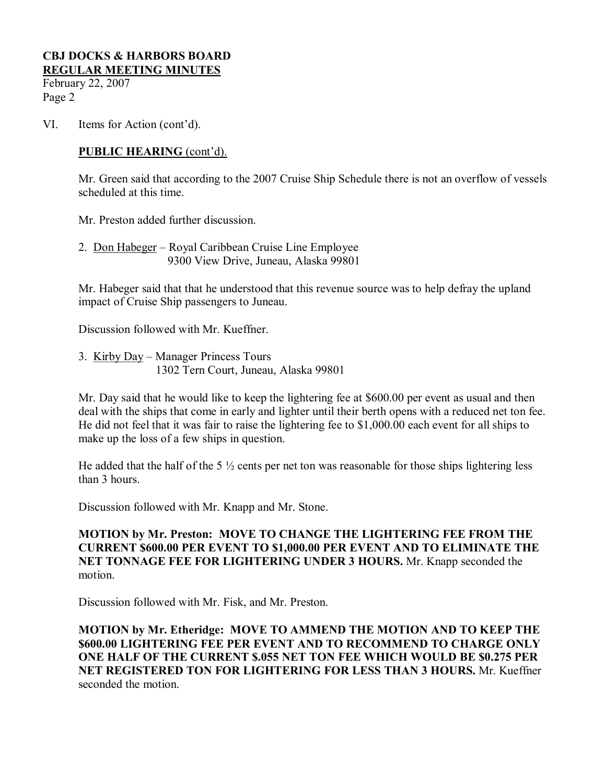February 22, 2007 Page 2

VI. Items for Action (cont'd).

## **PUBLIC HEARING** (cont'd).

Mr. Green said that according to the 2007 Cruise Ship Schedule there is not an overflow of vessels scheduled at this time.

Mr. Preston added further discussion.

2. Don Habeger – Royal Caribbean Cruise Line Employee 9300 View Drive, Juneau, Alaska 99801

Mr. Habeger said that that he understood that this revenue source was to help defray the upland impact of Cruise Ship passengers to Juneau.

Discussion followed with Mr. Kueffner.

3. Kirby Day – Manager Princess Tours 1302 Tern Court, Juneau, Alaska 99801

Mr. Day said that he would like to keep the lightering fee at \$600.00 per event as usual and then deal with the ships that come in early and lighter until their berth opens with a reduced net ton fee. He did not feel that it was fair to raise the lightering fee to \$1,000.00 each event for all ships to make up the loss of a few ships in question.

He added that the half of the 5  $\frac{1}{2}$  cents per net ton was reasonable for those ships lightering less than 3 hours.

Discussion followed with Mr. Knapp and Mr. Stone.

**MOTION by Mr. Preston: MOVE TO CHANGE THE LIGHTERING FEE FROM THE CURRENT \$600.00 PER EVENT TO \$1,000.00 PER EVENT AND TO ELIMINATE THE NET TONNAGE FEE FOR LIGHTERING UNDER 3 HOURS.** Mr. Knapp seconded the motion.

Discussion followed with Mr. Fisk, and Mr. Preston.

**MOTION by Mr. Etheridge: MOVE TO AMMEND THE MOTION AND TO KEEP THE \$600.00 LIGHTERING FEE PER EVENT AND TO RECOMMEND TO CHARGE ONLY ONE HALF OF THE CURRENT \$.055 NET TON FEE WHICH WOULD BE \$0.275 PER NET REGISTERED TON FOR LIGHTERING FOR LESS THAN 3 HOURS.** Mr. Kueffner seconded the motion.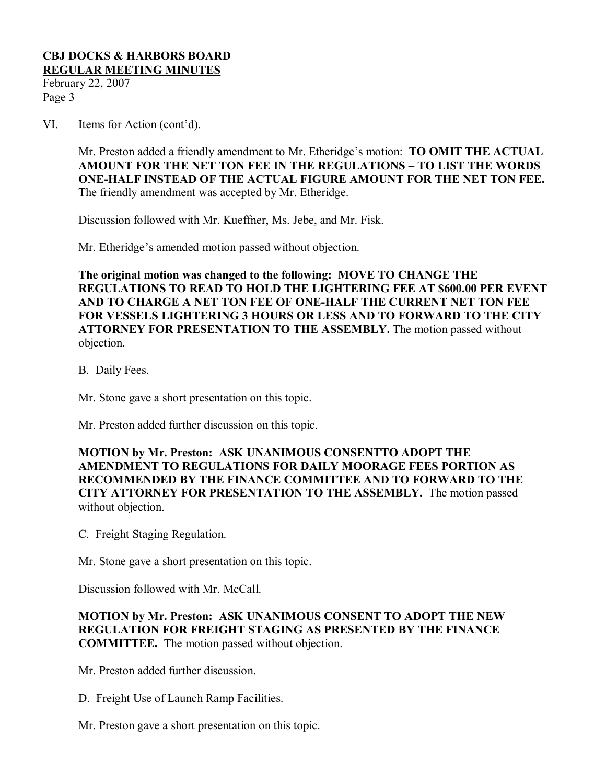February 22, 2007 Page 3

VI. Items for Action (cont'd).

Mr. Preston added a friendly amendment to Mr. Etheridge's motion: **TO OMIT THE ACTUAL AMOUNT FOR THE NET TON FEE IN THE REGULATIONS – TO LIST THE WORDS ONEHALF INSTEAD OF THE ACTUAL FIGURE AMOUNT FOR THE NET TON FEE.** The friendly amendment was accepted by Mr. Etheridge.

Discussion followed with Mr. Kueffner, Ms. Jebe, and Mr. Fisk.

Mr. Etheridge's amended motion passed without objection.

**The original motion was changed to the following: MOVE TO CHANGE THE REGULATIONS TO READ TO HOLD THE LIGHTERING FEE AT \$600.00 PER EVENT AND TO CHARGE A NET TON FEE OF ONEHALF THE CURRENT NET TON FEE FOR VESSELS LIGHTERING 3 HOURS OR LESS AND TO FORWARD TO THE CITY ATTORNEY FOR PRESENTATION TO THE ASSEMBLY.** The motion passed without objection.

B. Daily Fees.

Mr. Stone gave a short presentation on this topic.

Mr. Preston added further discussion on this topic.

**MOTION by Mr. Preston: ASK UNANIMOUS CONSENTTO ADOPT THE AMENDMENT TO REGULATIONS FOR DAILY MOORAGE FEES PORTION AS RECOMMENDED BY THE FINANCE COMMITTEE AND TO FORWARD TO THE CITY ATTORNEY FOR PRESENTATION TO THE ASSEMBLY.** The motion passed without objection.

C. Freight Staging Regulation.

Mr. Stone gave a short presentation on this topic.

Discussion followed with Mr. McCall.

**MOTION by Mr. Preston: ASK UNANIMOUS CONSENT TO ADOPT THE NEW REGULATION FOR FREIGHT STAGING AS PRESENTED BY THE FINANCE COMMITTEE.** The motion passed without objection.

Mr. Preston added further discussion.

D. Freight Use of Launch Ramp Facilities.

Mr. Preston gave a short presentation on this topic.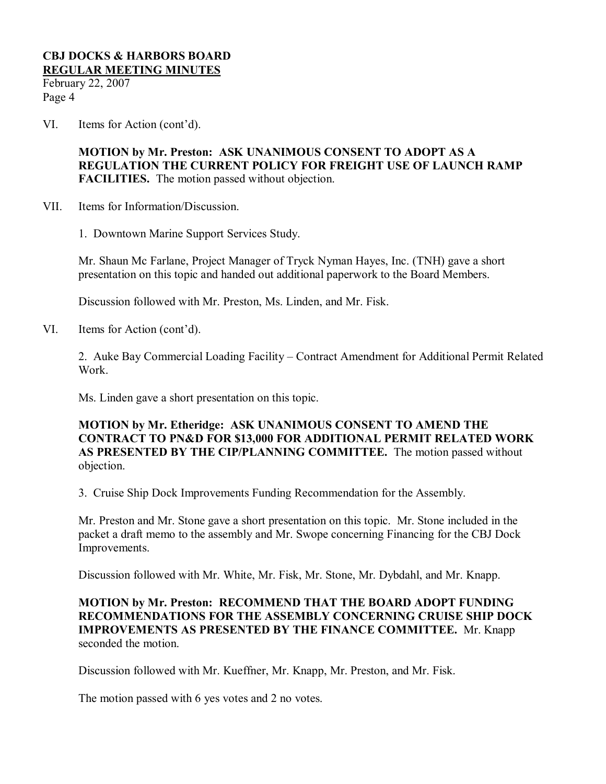February 22, 2007 Page 4

VI. Items for Action (cont'd).

**MOTION by Mr. Preston: ASK UNANIMOUS CONSENT TO ADOPT AS A REGULATION THE CURRENT POLICY FOR FREIGHT USE OF LAUNCH RAMP FACILITIES.** The motion passed without objection.

- VII. Items for Information/Discussion.
	- 1. Downtown Marine Support Services Study.

Mr. Shaun Mc Farlane, Project Manager of Tryck Nyman Hayes, Inc. (TNH) gave a short presentation on this topic and handed out additional paperwork to the Board Members.

Discussion followed with Mr. Preston, Ms. Linden, and Mr. Fisk.

VI. Items for Action (cont'd).

2. Auke Bay Commercial Loading Facility – Contract Amendment for Additional Permit Related Work.

Ms. Linden gave a short presentation on this topic.

**MOTION by Mr. Etheridge: ASK UNANIMOUS CONSENT TO AMEND THE CONTRACT TO PN&D FOR \$13,000 FOR ADDITIONAL PERMIT RELATED WORK AS PRESENTED BY THE CIP/PLANNING COMMITTEE.** The motion passed without objection.

3. Cruise Ship Dock Improvements Funding Recommendation for the Assembly.

Mr. Preston and Mr. Stone gave a short presentation on this topic. Mr. Stone included in the packet a draft memo to the assembly and Mr. Swope concerning Financing for the CBJ Dock Improvements.

Discussion followed with Mr. White, Mr. Fisk, Mr. Stone, Mr. Dybdahl, and Mr. Knapp.

**MOTION by Mr. Preston: RECOMMEND THAT THE BOARD ADOPT FUNDING RECOMMENDATIONS FOR THE ASSEMBLY CONCERNING CRUISE SHIP DOCK IMPROVEMENTS AS PRESENTED BY THE FINANCE COMMITTEE.** Mr. Knapp seconded the motion.

Discussion followed with Mr. Kueffner, Mr. Knapp, Mr. Preston, and Mr. Fisk.

The motion passed with 6 yes votes and 2 no votes.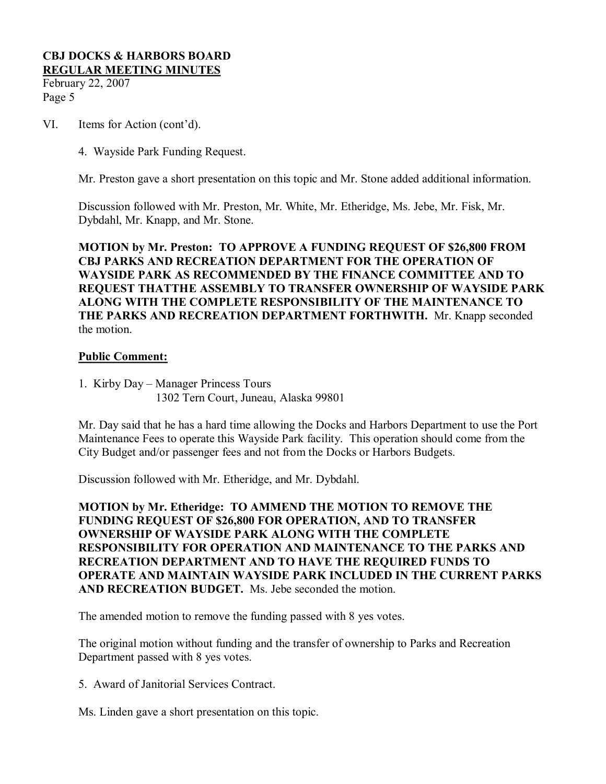February 22, 2007 Page 5

- VI. Items for Action (cont'd).
	- 4. Wayside Park Funding Request.

Mr. Preston gave a short presentation on this topic and Mr. Stone added additional information.

Discussion followed with Mr. Preston, Mr. White, Mr. Etheridge, Ms. Jebe, Mr. Fisk, Mr. Dybdahl, Mr. Knapp, and Mr. Stone.

**MOTION by Mr. Preston: TO APPROVE A FUNDING REQUEST OF \$26,800 FROM CBJ PARKS AND RECREATION DEPARTMENT FOR THE OPERATION OF WAYSIDE PARK AS RECOMMENDED BY THE FINANCE COMMITTEE AND TO REQUEST THATTHE ASSEMBLY TO TRANSFER OWNERSHIP OF WAYSIDE PARK ALONG WITH THE COMPLETE RESPONSIBILITY OF THE MAINTENANCE TO THE PARKS AND RECREATION DEPARTMENT FORTHWITH.** Mr. Knapp seconded the motion.

### **Public Comment:**

1. Kirby Day – Manager Princess Tours 1302 Tern Court, Juneau, Alaska 99801

Mr. Day said that he has a hard time allowing the Docks and Harbors Department to use the Port Maintenance Fees to operate this Wayside Park facility. This operation should come from the City Budget and/or passenger fees and not from the Docks or Harbors Budgets.

Discussion followed with Mr. Etheridge, and Mr. Dybdahl.

**MOTION by Mr. Etheridge: TO AMMEND THE MOTION TO REMOVE THE FUNDING REQUEST OF \$26,800 FOR OPERATION, AND TO TRANSFER OWNERSHIP OF WAYSIDE PARK ALONG WITH THE COMPLETE RESPONSIBILITY FOR OPERATION AND MAINTENANCE TO THE PARKS AND RECREATION DEPARTMENT AND TO HAVE THE REQUIRED FUNDS TO OPERATE AND MAINTAIN WAYSIDE PARK INCLUDED IN THE CURRENT PARKS AND RECREATION BUDGET.** Ms. Jebe seconded the motion.

The amended motion to remove the funding passed with 8 yes votes.

The original motion without funding and the transfer of ownership to Parks and Recreation Department passed with 8 yes votes.

5. Award of Janitorial Services Contract.

Ms. Linden gave a short presentation on this topic.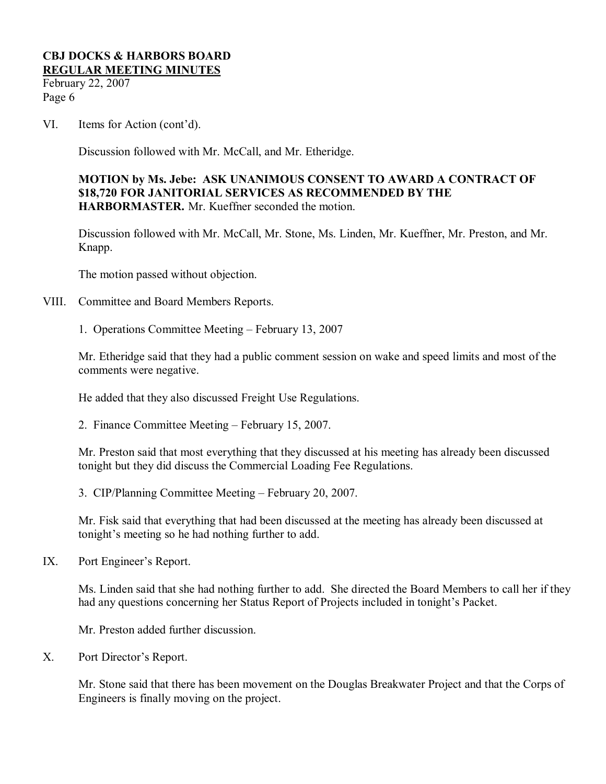February 22, 2007 Page 6

VI. Items for Action (cont'd).

Discussion followed with Mr. McCall, and Mr. Etheridge.

### **MOTION by Ms. Jebe: ASK UNANIMOUS CONSENT TO AWARD A CONTRACT OF \$18,720 FOR JANITORIAL SERVICES AS RECOMMENDED BY THE HARBORMASTER.** Mr. Kueffner seconded the motion.

Discussion followed with Mr. McCall, Mr. Stone, Ms. Linden, Mr. Kueffner, Mr. Preston, and Mr. Knapp.

The motion passed without objection.

VIII. Committee and Board Members Reports.

1. Operations Committee Meeting – February 13, 2007

Mr. Etheridge said that they had a public comment session on wake and speed limits and most of the comments were negative.

He added that they also discussed Freight Use Regulations.

2. Finance Committee Meeting – February 15, 2007.

Mr. Preston said that most everything that they discussed at his meeting has already been discussed tonight but they did discuss the Commercial Loading Fee Regulations.

3. CIP/Planning Committee Meeting – February 20, 2007.

Mr. Fisk said that everything that had been discussed at the meeting has already been discussed at tonight's meeting so he had nothing further to add.

IX. Port Engineer's Report.

Ms. Linden said that she had nothing further to add. She directed the Board Members to call her if they had any questions concerning her Status Report of Projects included in tonight's Packet.

Mr. Preston added further discussion.

X. Port Director's Report.

Mr. Stone said that there has been movement on the Douglas Breakwater Project and that the Corps of Engineers is finally moving on the project.